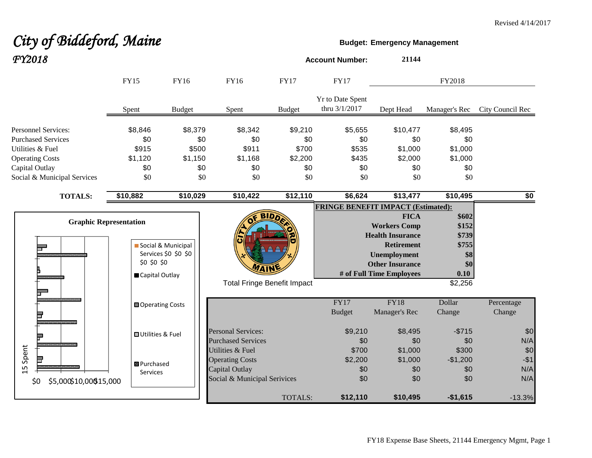# City of Biddeford, Maine **Budget:** Emergency Management *FY2018* **Account Number: <sup>21144</sup>**

|                                                                                                                                                        | <b>FY15</b>                                      | FY16                                             | FY16                                                                                         | <b>FY17</b>                                      | <b>FY17</b>                                    |                                                                                                                                                                 | FY2018                                                            |                            |
|--------------------------------------------------------------------------------------------------------------------------------------------------------|--------------------------------------------------|--------------------------------------------------|----------------------------------------------------------------------------------------------|--------------------------------------------------|------------------------------------------------|-----------------------------------------------------------------------------------------------------------------------------------------------------------------|-------------------------------------------------------------------|----------------------------|
|                                                                                                                                                        | Spent                                            | <b>Budget</b>                                    | Spent                                                                                        | <b>Budget</b>                                    | Yr to Date Spent<br>thru 3/1/2017              | Dept Head                                                                                                                                                       | Manager's Rec                                                     | City Council Rec           |
| <b>Personnel Services:</b><br><b>Purchased Services</b><br>Utilities & Fuel<br><b>Operating Costs</b><br>Capital Outlay<br>Social & Municipal Services | \$8,846<br>\$0<br>\$915<br>\$1,120<br>\$0<br>\$0 | \$8,379<br>\$0<br>\$500<br>\$1,150<br>\$0<br>\$0 | \$8,342<br>\$0<br>\$911<br>\$1,168<br>\$0<br>\$0                                             | \$9,210<br>\$0<br>\$700<br>\$2,200<br>\$0<br>\$0 | \$5,655<br>\$0<br>\$535<br>\$435<br>\$0<br>\$0 | \$10,477<br>\$0<br>\$1,000<br>\$2,000<br>\$0<br>\$0                                                                                                             | \$8,495<br>\$0<br>\$1,000<br>\$1,000<br>\$0<br>\$0                |                            |
| <b>TOTALS:</b>                                                                                                                                         | \$10,882                                         | \$10,029                                         | \$10,422                                                                                     | \$12,110                                         | \$6,624                                        | \$13,477                                                                                                                                                        | \$10,495                                                          | \$0                        |
| <b>Graphic Representation</b>                                                                                                                          | \$0 \$0 \$0<br>Capital Outlay                    | Social & Municipal<br>Services \$0 \$0 \$0       | <b>Total Fringe Benefit Impact</b>                                                           | <b>BIDD</b>                                      | <b>FRINGE BENEFIT IMPACT (Estimated):</b>      | <b>FICA</b><br><b>Workers Comp</b><br><b>Health Insurance</b><br><b>Retirement</b><br><b>Unemployment</b><br><b>Other Insurance</b><br># of Full Time Employees | \$602<br>\$152<br>\$739<br>\$755<br>\$8<br>\$0<br>0.10<br>\$2,256 |                            |
|                                                                                                                                                        | <b>□ Operating Costs</b>                         |                                                  |                                                                                              |                                                  | FY17<br><b>Budget</b>                          | <b>FY18</b><br>Manager's Rec                                                                                                                                    | Dollar<br>Change                                                  | Percentage<br>Change       |
|                                                                                                                                                        | <b>□</b> Utilities & Fuel                        |                                                  | <b>Personal Services:</b><br><b>Purchased Services</b>                                       |                                                  | \$9,210<br>\$0                                 | \$8,495<br>\$0                                                                                                                                                  | $-$715$<br>\$0                                                    | \$0<br>N/A                 |
| Spent<br>15<br>\$5,000\$10,00\$15,000<br>\$0                                                                                                           | <b>B</b> Purchased<br><b>Services</b>            |                                                  | Utilities & Fuel<br><b>Operating Costs</b><br>Capital Outlay<br>Social & Municipal Serivices |                                                  | \$700<br>\$2,200<br>\$0<br>\$0                 | \$1,000<br>\$1,000<br>\$0<br>\$0                                                                                                                                | \$300<br>$-$1,200$<br>\$0<br>\$0                                  | \$0<br>$-$1$<br>N/A<br>N/A |
|                                                                                                                                                        |                                                  |                                                  |                                                                                              | TOTALS:                                          | \$12,110                                       | \$10,495                                                                                                                                                        | $-$1,615$                                                         | $-13.3%$                   |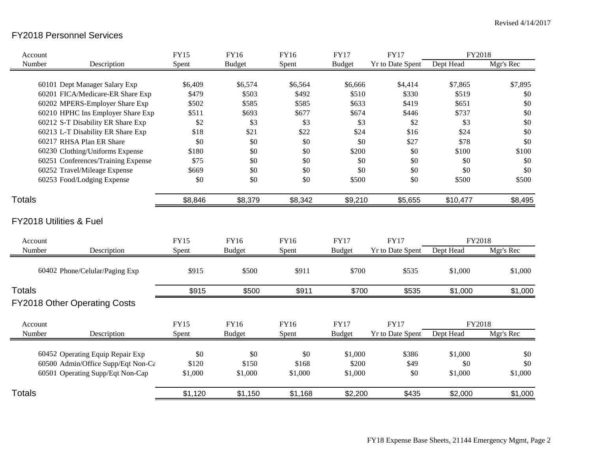## FY2018 Personnel Services

| Account                             | <b>FY15</b> | <b>FY16</b>   | <b>FY16</b> | <b>FY17</b>   | <b>FY17</b>             | FY2018    |           |
|-------------------------------------|-------------|---------------|-------------|---------------|-------------------------|-----------|-----------|
| Number<br>Description               | Spent       | <b>Budget</b> | Spent       | <b>Budget</b> | <b>Yr to Date Spent</b> | Dept Head | Mgr's Rec |
|                                     |             |               |             |               |                         |           |           |
| 60101 Dept Manager Salary Exp       | \$6,409     | \$6,574       | \$6,564     | \$6,666       | \$4,414                 | \$7,865   | \$7,895   |
| 60201 FICA/Medicare-ER Share Exp    | \$479       | \$503         | \$492       | \$510         | \$330                   | \$519     | \$0       |
| 60202 MPERS-Employer Share Exp      | \$502       | \$585         | \$585       | \$633         | \$419                   | \$651     | \$0       |
| 60210 HPHC Ins Employer Share Exp   | \$511       | \$693         | \$677       | \$674         | \$446                   | \$737     | \$0       |
| 60212 S-T Disability ER Share Exp   | \$2         | \$3           | \$3         | \$3           | \$2                     | \$3       | \$0       |
| 60213 L-T Disability ER Share Exp   | \$18        | \$21          | \$22        | \$24          | \$16                    | \$24      | \$0       |
| 60217 RHSA Plan ER Share            | \$0         | \$0           | \$0         | \$0           | \$27                    | \$78      | \$0       |
| 60230 Clothing/Uniforms Expense     | \$180       | \$0           | \$0         | \$200         | \$0                     | \$100     | \$100     |
| 60251 Conferences/Training Expense  | \$75        | \$0           | \$0         | \$0           | \$0                     | \$0       | \$0       |
| 60252 Travel/Mileage Expense        | \$669       | \$0           | \$0         | \$0           | \$0                     | \$0       | \$0       |
| 60253 Food/Lodging Expense          | \$0         | \$0           | \$0         | \$500         | \$0                     | \$500     | \$500     |
| <b>Totals</b>                       | \$8,846     | \$8,379       | \$8,342     | \$9,210       | \$5,655                 | \$10,477  | \$8,495   |
| <b>FY2018 Utilities &amp; Fuel</b>  |             |               |             |               |                         |           |           |
| Account                             | <b>FY15</b> | <b>FY16</b>   | FY16        | <b>FY17</b>   | <b>FY17</b>             | FY2018    |           |
| Number<br>Description               | Spent       | <b>Budget</b> | Spent       | <b>Budget</b> | <b>Yr to Date Spent</b> | Dept Head | Mgr's Rec |
|                                     |             |               |             |               |                         |           |           |
| 60402 Phone/Celular/Paging Exp      | \$915       | \$500         | \$911       | \$700         | \$535                   | \$1,000   | \$1,000   |
| <b>Totals</b>                       | \$915       | \$500         | \$911       | \$700         | \$535                   | \$1,000   | \$1,000   |
| <b>FY2018 Other Operating Costs</b> |             |               |             |               |                         |           |           |
| Account                             | <b>FY15</b> | <b>FY16</b>   | <b>FY16</b> | <b>FY17</b>   | <b>FY17</b>             | FY2018    |           |
| Number<br>Description               | Spent       | <b>Budget</b> | Spent       | <b>Budget</b> | <b>Yr to Date Spent</b> | Dept Head | Mgr's Rec |
|                                     |             |               |             |               |                         |           |           |
| 60452 Operating Equip Repair Exp    | \$0         | \$0           | \$0         | \$1,000       | \$386                   | \$1,000   | \$0       |
| 60500 Admin/Office Supp/Eqt Non-Cε  | \$120       | \$150         | \$168       | \$200         | \$49                    | \$0       | \$0       |
| 60501 Operating Supp/Eqt Non-Cap    | \$1,000     | \$1,000       | \$1,000     | \$1,000       | \$0                     | \$1,000   | \$1,000   |
| <b>Totals</b>                       | \$1,120     | \$1,150       | \$1,168     | \$2,200       | \$435                   | \$2,000   | \$1,000   |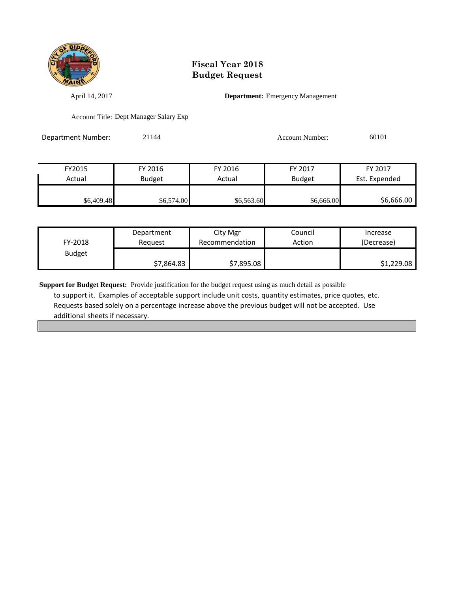

April 14, 2017 **Department:** Emergency Management

Account Title: Dept Manager Salary Exp

Department Number: 21144 21144 Account Number: 60101

| FY2015     | FY 2016       | FY 2016    | FY 2017       | FY 2017       |
|------------|---------------|------------|---------------|---------------|
| Actual     | <b>Budget</b> | Actual     | <b>Budget</b> | Est. Expended |
|            |               |            |               |               |
| \$6,409.48 | \$6,574.00    | \$6,563.60 | \$6,666.00    | \$6,666.00    |

| FY-2018       | Department | City Mgr       | Council | Increase   |
|---------------|------------|----------------|---------|------------|
|               | Reauest    | Recommendation | Action  | (Decrease) |
| <b>Budget</b> | \$7,864.83 | \$7,895.08     |         | \$1,229.08 |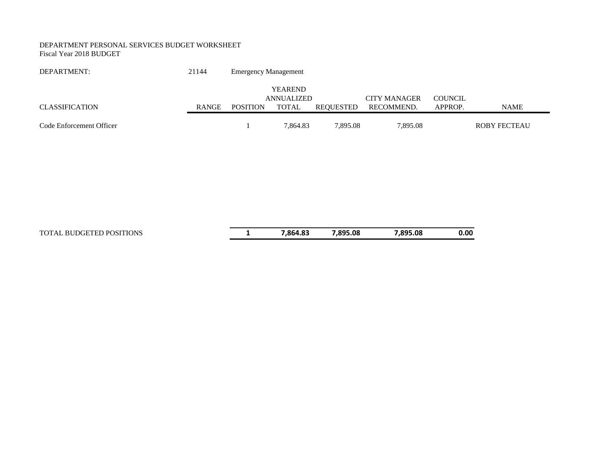#### DEPARTMENT PERSONAL SERVICES BUDGET WORKSHEET Fiscal Year 2018 BUDGET

| DEPARTMENT:              | 21144 | <b>Emergency Management</b> |                            |           |                                   |                           |                     |
|--------------------------|-------|-----------------------------|----------------------------|-----------|-----------------------------------|---------------------------|---------------------|
|                          |       |                             | <b>YEAREND</b>             |           |                                   |                           |                     |
| <b>CLASSIFICATION</b>    | RANGE | <b>POSITION</b>             | ANNUALIZED<br><b>TOTAL</b> | REOUESTED | <b>CITY MANAGER</b><br>RECOMMEND. | <b>COUNCIL</b><br>APPROP. | <b>NAME</b>         |
| Code Enforcement Officer |       |                             | 7,864.83                   | 7,895.08  | 7,895.08                          |                           | <b>ROBY FECTEAU</b> |

| <b>TOTAL BUDGETED POSITIONS</b> |  |
|---------------------------------|--|
|---------------------------------|--|

TOTAL BUDGETED POSITIONS **1 7,864.83 7,895.08 7,895.08 0.00**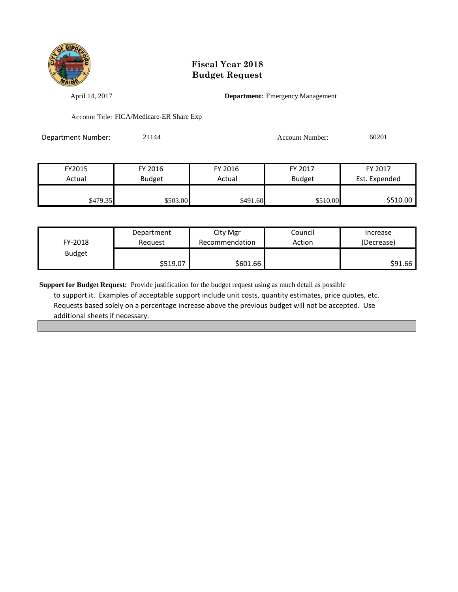

April 14, 2017 **Department:** Emergency Management

Account Title: FICA/Medicare-ER Share Exp

| <b>Department Number:</b> | 21144 | <b>Account Number:</b> | 60201 |
|---------------------------|-------|------------------------|-------|
|                           |       |                        |       |

| FY2015   | FY 2016  | FY 2016  | FY 2017       | FY 2017       |
|----------|----------|----------|---------------|---------------|
| Actual   | Budget   | Actual   | <b>Budget</b> | Est. Expended |
|          |          |          |               |               |
| \$479.35 | \$503.00 | \$491.60 | \$510.00      | \$510.00      |

| FY-2018       | Department | City Mgr       | Council | Increase   |
|---------------|------------|----------------|---------|------------|
|               | Reauest    | Recommendation | Action  | (Decrease) |
| <b>Budget</b> | \$519.07   | \$601.66       |         | \$91.66    |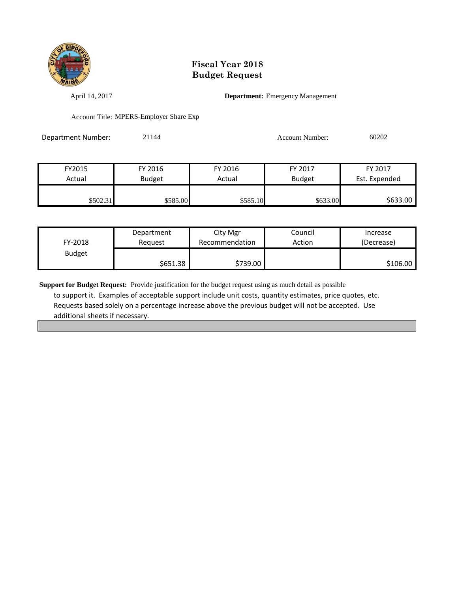

April 14, 2017 **Department:** Emergency Management

Account Title: MPERS-Employer Share Exp

| Department Number: | 21144 | Account Number: | 60202 |
|--------------------|-------|-----------------|-------|
|                    |       |                 |       |

| FY2015            | FY 2016       | FY 2016  | FY 2017       | FY 2017       |
|-------------------|---------------|----------|---------------|---------------|
| Actual            | <b>Budget</b> | Actual   | <b>Budget</b> | Est. Expended |
|                   |               |          |               |               |
| \$502.31 <b>1</b> | \$585.00      | \$585.10 | \$633.00      | \$633.00      |

| FY-2018       | Department | City Mgr       | Council | Increase   |
|---------------|------------|----------------|---------|------------|
|               | Reguest    | Recommendation | Action  | (Decrease) |
| <b>Budget</b> | \$651.38   | \$739.00       |         | \$106.00   |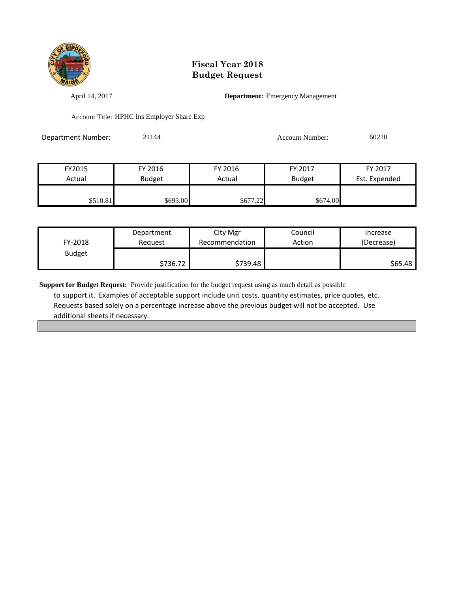

April 14, 2017 **Department:** Emergency Management

Account Title: HPHC Ins Employer Share Exp

Department Number: 21144 21144 Account Number: 60210

| FY2015   | FY 2016       | FY 2016  | FY 2017       | FY 2017       |
|----------|---------------|----------|---------------|---------------|
| Actual   | <b>Budget</b> | Actual   | <b>Budget</b> | Est. Expended |
|          |               |          |               |               |
| \$510.81 | \$693.00      | \$677.22 | \$674.00      |               |

| FY-2018       | Department | City Mgr       | Council | Increase   |
|---------------|------------|----------------|---------|------------|
|               | Reguest    | Recommendation | Action  | (Decrease) |
| <b>Budget</b> | \$736.72   | \$739.48       |         | \$65.48    |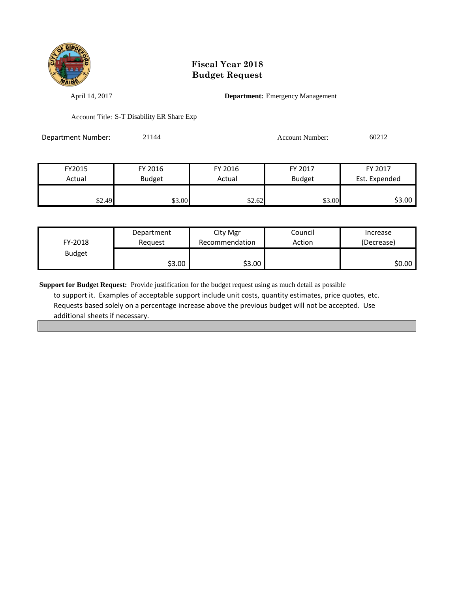

April 14, 2017 **Department:** Emergency Management

Account Title: S-T Disability ER Share Exp

| Department Number: | 21144 | Account Number: | 60212 |
|--------------------|-------|-----------------|-------|
|                    |       |                 |       |

| FY2015 | FY 2016       | FY 2016 | FY 2017       | FY 2017       |
|--------|---------------|---------|---------------|---------------|
| Actual | <b>Budget</b> | Actual  | <b>Budget</b> | Est. Expended |
|        |               |         |               |               |
| \$2.49 | \$3.00        | \$2.62  | \$3.00        | \$3.00        |

| FY-2018       | Department | City Mgr       | Council | Increase   |
|---------------|------------|----------------|---------|------------|
|               | Reguest    | Recommendation | Action  | (Decrease) |
| <b>Budget</b> | \$3.00     | \$3.00         |         | \$0.00 l   |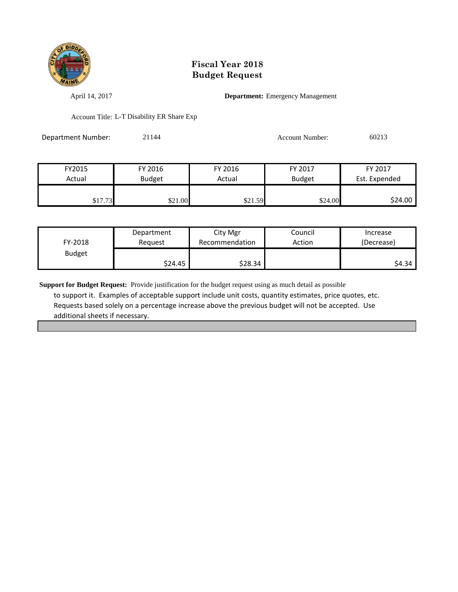

April 14, 2017 **Department:** Emergency Management

Account Title: L-T Disability ER Share Exp

| Department Number: | 21144 | Account Number: | 60213 |
|--------------------|-------|-----------------|-------|
|                    |       |                 |       |

| FY2015  | FY 2016       | FY 2016 | FY 2017       | FY 2017       |
|---------|---------------|---------|---------------|---------------|
| Actual  | <b>Budget</b> | Actual  | <b>Budget</b> | Est. Expended |
|         |               |         |               |               |
| \$17.73 | \$21.00       | \$21.59 | \$24.00       | \$24.00       |

| FY-2018       | Department | City Mgr       | Council | Increase   |
|---------------|------------|----------------|---------|------------|
|               | Reguest    | Recommendation | Action  | (Decrease) |
| <b>Budget</b> | \$24.45    | \$28.34        |         | S4.34      |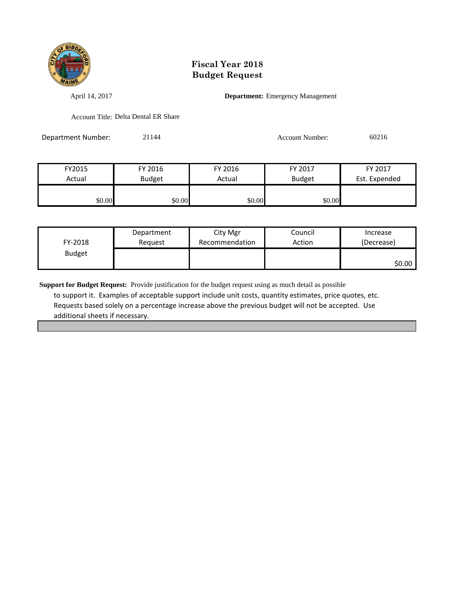

April 14, 2017 **Department:** Emergency Management

Account Title: Delta Dental ER Share

Department Number: 21144 21144 Account Number: 60216

| FY2015 | FY 2016       | FY 2016 | FY 2017       | FY 2017       |
|--------|---------------|---------|---------------|---------------|
| Actual | <b>Budget</b> | Actual  | <b>Budget</b> | Est. Expended |
|        |               |         |               |               |
| \$0.00 | \$0.00        | \$0.00  | \$0.00        |               |

| FY-2018       | Department | City Mgr       | Council | Increase   |
|---------------|------------|----------------|---------|------------|
|               | Reguest    | Recommendation | Action  | (Decrease) |
| <b>Budget</b> |            |                |         | \$0.00     |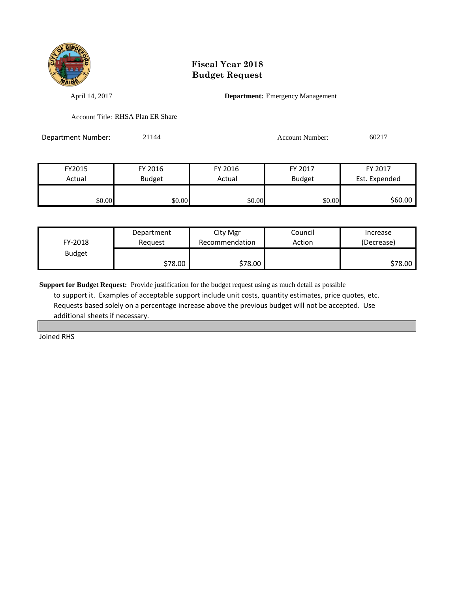

April 14, 2017 **Department:** Emergency Management

Account Title: RHSA Plan ER Share

Department Number: 21144 21144 Account Number: 60217

| FY2015 | FY 2016       | FY 2016 | FY 2017       | FY 2017       |
|--------|---------------|---------|---------------|---------------|
| Actual | <b>Budget</b> | Actual  | <b>Budget</b> | Est. Expended |
|        |               |         |               |               |
| \$0.00 | \$0.00        | \$0.00  | \$0.00        | \$60.00       |

| FY-2018       | Department | City Mgr       | Council | Increase   |
|---------------|------------|----------------|---------|------------|
|               | Reauest    | Recommendation | Action  | (Decrease) |
| <b>Budget</b> | \$78.00    | \$78.00        |         | \$78.00    |

**Support for Budget Request:** Provide justification for the budget request using as much detail as possible to support it. Examples of acceptable support include unit costs, quantity estimates, price quotes, etc. Requests based solely on a percentage increase above the previous budget will not be accepted. Use additional sheets if necessary.

Joined RHS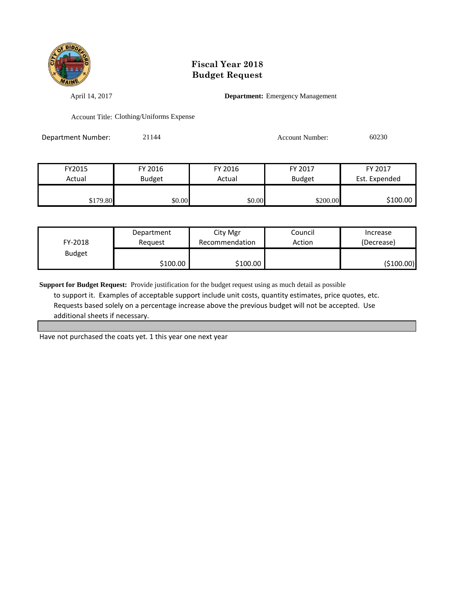

April 14, 2017 **Department:** Emergency Management

Account Title: Clothing/Uniforms Expense

Department Number: 21144 21144 Account Number: 60230

| FY2015   | FY 2016       | FY 2016 | FY 2017       | FY 2017       |
|----------|---------------|---------|---------------|---------------|
| Actual   | <b>Budget</b> | Actual  | <b>Budget</b> | Est. Expended |
|          |               |         |               |               |
| \$179.80 | \$0.00        | \$0.00  | \$200.00      | \$100.00      |

| FY-2018       | Department | City Mgr       | Council | Increase   |
|---------------|------------|----------------|---------|------------|
|               | Reauest    | Recommendation | Action  | (Decrease) |
| <b>Budget</b> | \$100.00∣  | \$100.00       |         | (\$100.00) |

**Support for Budget Request:** Provide justification for the budget request using as much detail as possible to support it. Examples of acceptable support include unit costs, quantity estimates, price quotes, etc. Requests based solely on a percentage increase above the previous budget will not be accepted. Use additional sheets if necessary.

Have not purchased the coats yet. 1 this year one next year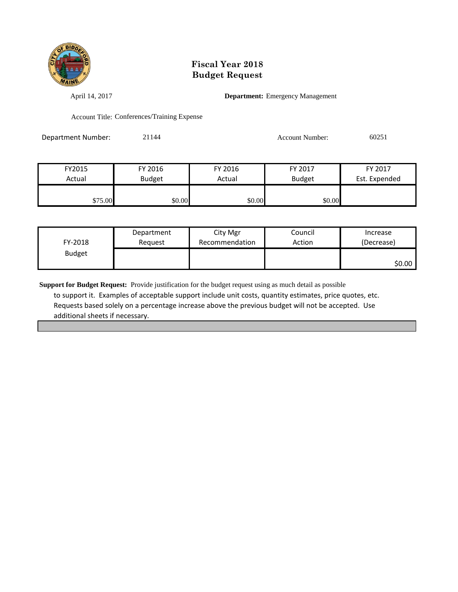

April 14, 2017 **Department:** Emergency Management

Account Title: Conferences/Training Expense

Department Number: 21144 21144 Account Number: 60251

| FY2015  | FY 2016       | FY 2016 | FY 2017       | FY 2017       |
|---------|---------------|---------|---------------|---------------|
| Actual  | <b>Budget</b> | Actual  | <b>Budget</b> | Est. Expended |
|         |               |         |               |               |
| \$75.00 | \$0.00        | \$0.00  | \$0.00        |               |

| FY-2018       | Department | City Mgr       | Council | Increase   |
|---------------|------------|----------------|---------|------------|
|               | Reguest    | Recommendation | Action  | (Decrease) |
| <b>Budget</b> |            |                |         | \$0.00     |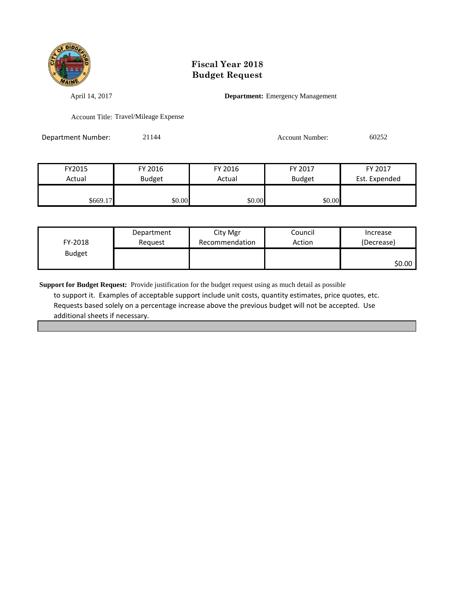

April 14, 2017 **Department:** Emergency Management

Account Title: Travel/Mileage Expense

Department Number: 21144 21144 Account Number: 60252

| FY2015   | FY 2016       | FY 2016 | FY 2017       | FY 2017       |
|----------|---------------|---------|---------------|---------------|
| Actual   | <b>Budget</b> | Actual  | <b>Budget</b> | Est. Expended |
|          |               |         |               |               |
| \$669.17 | \$0.00        | \$0.00  | \$0.00        |               |

| FY-2018       | Department | City Mgr       | Council | Increase   |
|---------------|------------|----------------|---------|------------|
|               | Reguest    | Recommendation | Action  | (Decrease) |
| <b>Budget</b> |            |                |         | \$0.00     |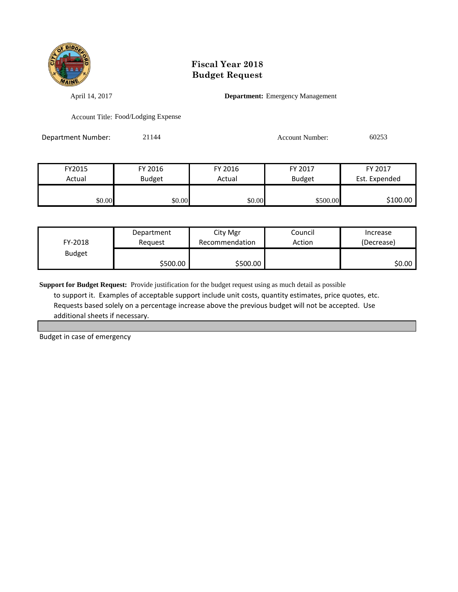

April 14, 2017 **Department:** Emergency Management

Account Title: Food/Lodging Expense

Department Number: 21144 21144 Account Number: 60253

FY2015 FY 2016 FY 2016 FY 2017 FY 2017 Actual Budget Actual Budget Est. Expended \$0.00 \$0.00 \$0.00 \$0.00 \$500.00 \$500.00 \$100.00

| FY-2018       | Department | City Mgr       | Council | Increase   |
|---------------|------------|----------------|---------|------------|
|               | Reguest    | Recommendation | Action  | (Decrease) |
| <b>Budget</b> | \$500.00   | \$500.00       |         | \$0.00     |

**Support for Budget Request:** Provide justification for the budget request using as much detail as possible to support it. Examples of acceptable support include unit costs, quantity estimates, price quotes, etc. Requests based solely on a percentage increase above the previous budget will not be accepted. Use additional sheets if necessary.

Budget in case of emergency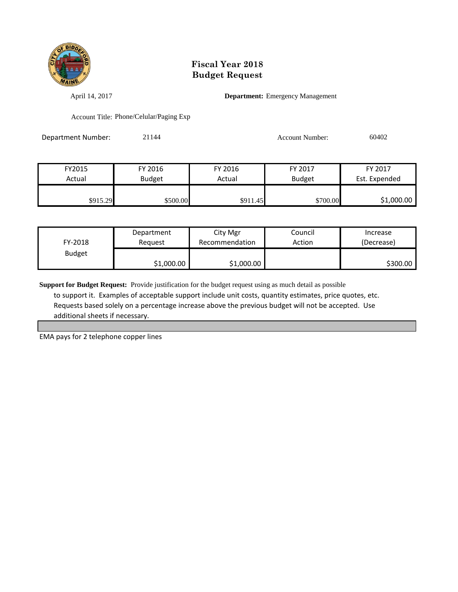

April 14, 2017 **Department:** Emergency Management

Account Title: Phone/Celular/Paging Exp

Department Number: 21144 21144 Account Number: 60402

| FY2015   | FY 2016  | FY 2016  | FY 2017       | FY 2017       |
|----------|----------|----------|---------------|---------------|
| Actual   | Budget   | Actual   | <b>Budget</b> | Est. Expended |
|          |          |          |               |               |
| \$915.29 | \$500.00 | \$911.45 | \$700.00      | \$1,000.00    |

| FY-2018       | Department | City Mgr       | Council | Increase   |
|---------------|------------|----------------|---------|------------|
|               | Reauest    | Recommendation | Action  | (Decrease) |
| <b>Budget</b> | \$1,000.00 | \$1,000.00     |         | \$300.00   |

**Support for Budget Request:** Provide justification for the budget request using as much detail as possible to support it. Examples of acceptable support include unit costs, quantity estimates, price quotes, etc. Requests based solely on a percentage increase above the previous budget will not be accepted. Use additional sheets if necessary.

EMA pays for 2 telephone copper lines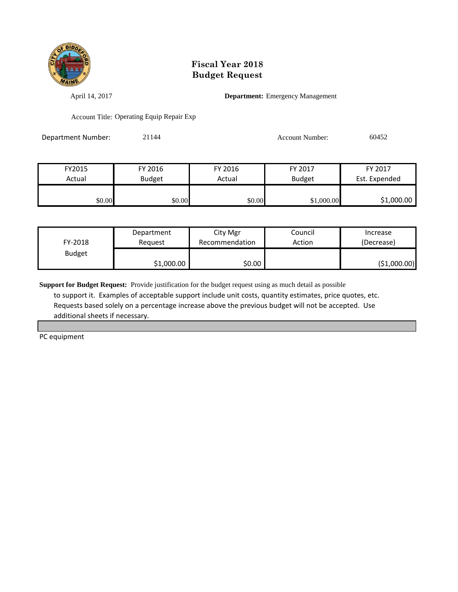

April 14, 2017 **Department:** Emergency Management

Account Title: Operating Equip Repair Exp

Department Number: 21144 21144 Account Number: 60452

| FY2015 | FY 2016       | FY 2016 | FY 2017       | FY 2017       |
|--------|---------------|---------|---------------|---------------|
| Actual | <b>Budget</b> | Actual  | <b>Budget</b> | Est. Expended |
|        |               |         |               |               |
| \$0.00 | \$0.00        | \$0.00  | \$1,000.00    | \$1,000.00    |

| FY-2018       | Department | City Mgr       | Council | Increase      |
|---------------|------------|----------------|---------|---------------|
|               | Reauest    | Recommendation | Action  | (Decrease)    |
| <b>Budget</b> | \$1,000.00 | \$0.00         |         | ( \$1,000.00) |

**Support for Budget Request:** Provide justification for the budget request using as much detail as possible to support it. Examples of acceptable support include unit costs, quantity estimates, price quotes, etc. Requests based solely on a percentage increase above the previous budget will not be accepted. Use additional sheets if necessary.

PC equipment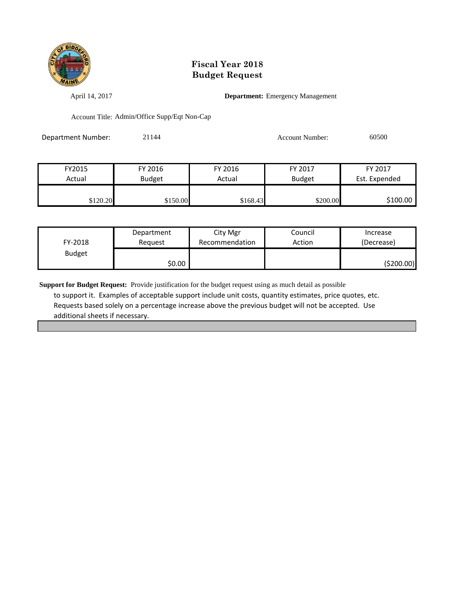

April 14, 2017 **Department:** Emergency Management

Account Title: Admin/Office Supp/Eqt Non-Cap

| <b>Department Number:</b> | 21144 | Account Number: | 60500 |
|---------------------------|-------|-----------------|-------|
|                           |       |                 |       |

| FY2015   | FY 2016       | FY 2016  | FY 2017       | FY 2017       |
|----------|---------------|----------|---------------|---------------|
| Actual   | <b>Budget</b> | Actual   | <b>Budget</b> | Est. Expended |
|          |               |          |               |               |
| \$120.20 | \$150.00      | \$168.43 | \$200.00      | \$100.00      |

| FY-2018       | Department | City Mgr       | Council | Increase   |
|---------------|------------|----------------|---------|------------|
|               | Reauest    | Recommendation | Action  | (Decrease) |
| <b>Budget</b> | \$0.00     |                |         | (\$200.00) |